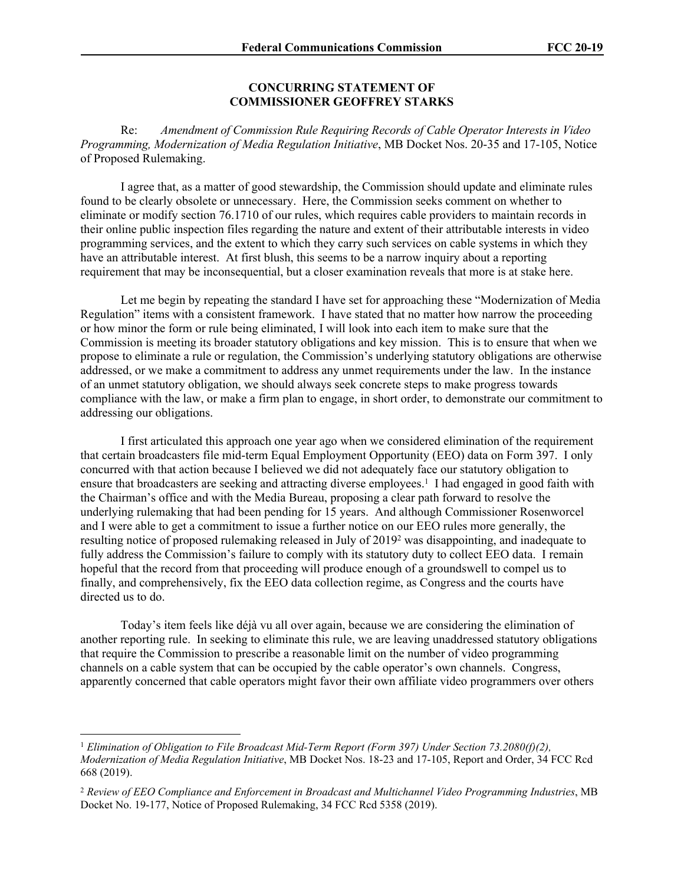## **CONCURRING STATEMENT OF COMMISSIONER GEOFFREY STARKS**

Re: *Amendment of Commission Rule Requiring Records of Cable Operator Interests in Video Programming, Modernization of Media Regulation Initiative*, MB Docket Nos. 20-35 and 17-105, Notice of Proposed Rulemaking.

I agree that, as a matter of good stewardship, the Commission should update and eliminate rules found to be clearly obsolete or unnecessary. Here, the Commission seeks comment on whether to eliminate or modify section 76.1710 of our rules, which requires cable providers to maintain records in their online public inspection files regarding the nature and extent of their attributable interests in video programming services, and the extent to which they carry such services on cable systems in which they have an attributable interest. At first blush, this seems to be a narrow inquiry about a reporting requirement that may be inconsequential, but a closer examination reveals that more is at stake here.

Let me begin by repeating the standard I have set for approaching these "Modernization of Media Regulation" items with a consistent framework. I have stated that no matter how narrow the proceeding or how minor the form or rule being eliminated, I will look into each item to make sure that the Commission is meeting its broader statutory obligations and key mission. This is to ensure that when we propose to eliminate a rule or regulation, the Commission's underlying statutory obligations are otherwise addressed, or we make a commitment to address any unmet requirements under the law. In the instance of an unmet statutory obligation, we should always seek concrete steps to make progress towards compliance with the law, or make a firm plan to engage, in short order, to demonstrate our commitment to addressing our obligations.

I first articulated this approach one year ago when we considered elimination of the requirement that certain broadcasters file mid-term Equal Employment Opportunity (EEO) data on Form 397. I only concurred with that action because I believed we did not adequately face our statutory obligation to ensure that broadcasters are seeking and attracting diverse employees.<sup>1</sup> I had engaged in good faith with the Chairman's office and with the Media Bureau, proposing a clear path forward to resolve the underlying rulemaking that had been pending for 15 years. And although Commissioner Rosenworcel and I were able to get a commitment to issue a further notice on our EEO rules more generally, the resulting notice of proposed rulemaking released in July of 2019<sup>2</sup> was disappointing, and inadequate to fully address the Commission's failure to comply with its statutory duty to collect EEO data. I remain hopeful that the record from that proceeding will produce enough of a groundswell to compel us to finally, and comprehensively, fix the EEO data collection regime, as Congress and the courts have directed us to do.

Today's item feels like déjà vu all over again, because we are considering the elimination of another reporting rule. In seeking to eliminate this rule, we are leaving unaddressed statutory obligations that require the Commission to prescribe a reasonable limit on the number of video programming channels on a cable system that can be occupied by the cable operator's own channels. Congress, apparently concerned that cable operators might favor their own affiliate video programmers over others

<sup>1</sup> *Elimination of Obligation to File Broadcast Mid-Term Report (Form 397) Under Section 73.2080(f)(2), Modernization of Media Regulation Initiative*, MB Docket Nos. 18-23 and 17-105, Report and Order, 34 FCC Rcd 668 (2019).

<sup>2</sup> *Review of EEO Compliance and Enforcement in Broadcast and Multichannel Video Programming Industries*, MB Docket No. 19-177, Notice of Proposed Rulemaking, 34 FCC Rcd 5358 (2019).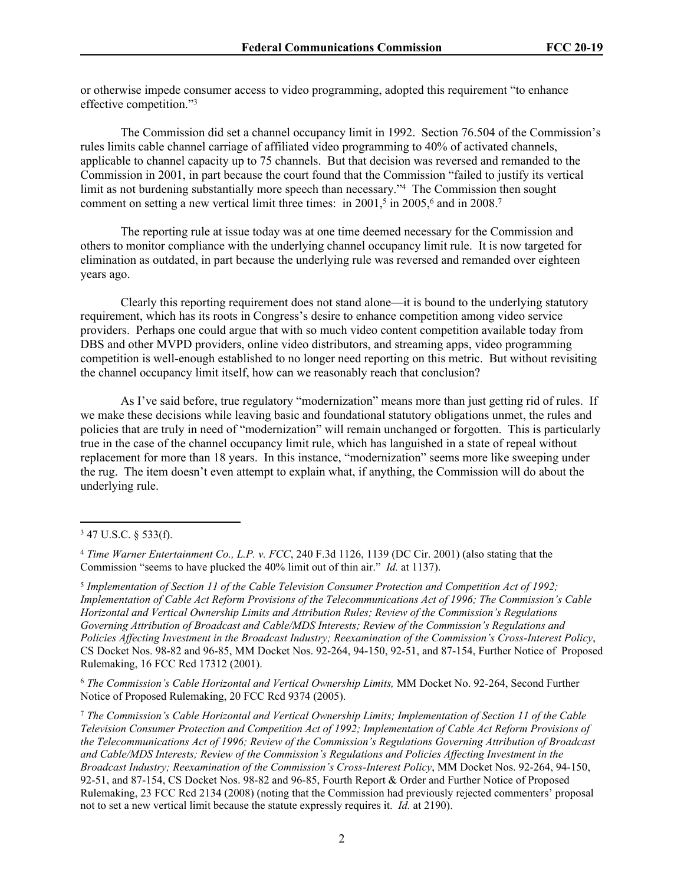or otherwise impede consumer access to video programming, adopted this requirement "to enhance effective competition."<sup>3</sup>

The Commission did set a channel occupancy limit in 1992. Section 76.504 of the Commission's rules limits cable channel carriage of affiliated video programming to 40% of activated channels, applicable to channel capacity up to 75 channels. But that decision was reversed and remanded to the Commission in 2001, in part because the court found that the Commission "failed to justify its vertical limit as not burdening substantially more speech than necessary."<sup>4</sup> The Commission then sought comment on setting a new vertical limit three times: in 2001,<sup>5</sup> in 2005,<sup>6</sup> and in 2008.<sup>7</sup>

The reporting rule at issue today was at one time deemed necessary for the Commission and others to monitor compliance with the underlying channel occupancy limit rule. It is now targeted for elimination as outdated, in part because the underlying rule was reversed and remanded over eighteen years ago.

Clearly this reporting requirement does not stand alone—it is bound to the underlying statutory requirement, which has its roots in Congress's desire to enhance competition among video service providers. Perhaps one could argue that with so much video content competition available today from DBS and other MVPD providers, online video distributors, and streaming apps, video programming competition is well-enough established to no longer need reporting on this metric. But without revisiting the channel occupancy limit itself, how can we reasonably reach that conclusion?

As I've said before, true regulatory "modernization" means more than just getting rid of rules. If we make these decisions while leaving basic and foundational statutory obligations unmet, the rules and policies that are truly in need of "modernization" will remain unchanged or forgotten. This is particularly true in the case of the channel occupancy limit rule, which has languished in a state of repeal without replacement for more than 18 years. In this instance, "modernization" seems more like sweeping under the rug. The item doesn't even attempt to explain what, if anything, the Commission will do about the underlying rule.

<sup>6</sup> *The Commission's Cable Horizontal and Vertical Ownership Limits,* MM Docket No. 92-264, Second Further Notice of Proposed Rulemaking, 20 FCC Rcd 9374 (2005).

 $347$  U.S.C. § 533(f).

<sup>4</sup> *Time Warner Entertainment Co., L.P. v. FCC*, 240 F.3d 1126, 1139 (DC Cir. 2001) (also stating that the Commission "seems to have plucked the 40% limit out of thin air." *Id.* at 1137).

<sup>&</sup>lt;sup>5</sup> Implementation of Section 11 of the Cable Television Consumer Protection and Competition Act of 1992; *Implementation of Cable Act Reform Provisions of the Telecommunications Act of 1996; The Commission's Cable Horizontal and Vertical Ownership Limits and Attribution Rules; Review of the Commission's Regulations Governing Attribution of Broadcast and Cable/MDS Interests; Review of the Commission's Regulations and Policies Affecting Investment in the Broadcast Industry; Reexamination of the Commission's Cross-Interest Policy*, CS Docket Nos. 98-82 and 96-85, MM Docket Nos. 92-264, 94-150, 92-51, and 87-154, Further Notice of Proposed Rulemaking, 16 FCC Rcd 17312 (2001).

<sup>7</sup> *The Commission's Cable Horizontal and Vertical Ownership Limits; Implementation of Section 11 of the Cable Television Consumer Protection and Competition Act of 1992; Implementation of Cable Act Reform Provisions of the Telecommunications Act of 1996; Review of the Commission's Regulations Governing Attribution of Broadcast and Cable/MDS Interests; Review of the Commission's Regulations and Policies Affecting Investment in the Broadcast Industry; Reexamination of the Commission's Cross-Interest Policy*, MM Docket Nos. 92-264, 94-150, 92-51, and 87-154, CS Docket Nos. 98-82 and 96-85, Fourth Report & Order and Further Notice of Proposed Rulemaking, 23 FCC Rcd 2134 (2008) (noting that the Commission had previously rejected commenters' proposal not to set a new vertical limit because the statute expressly requires it. *Id.* at 2190).